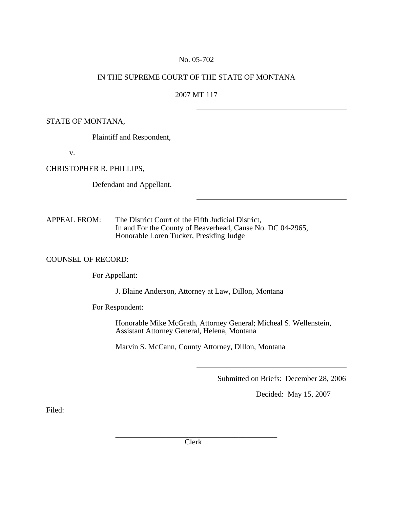### No. 05-702

## IN THE SUPREME COURT OF THE STATE OF MONTANA

# 2007 MT 117

## STATE OF MONTANA,

Plaintiff and Respondent,

v.

CHRISTOPHER R. PHILLIPS,

Defendant and Appellant.

APPEAL FROM: The District Court of the Fifth Judicial District, In and For the County of Beaverhead, Cause No. DC 04-2965, Honorable Loren Tucker, Presiding Judge

#### COUNSEL OF RECORD:

For Appellant:

J. Blaine Anderson, Attorney at Law, Dillon, Montana

For Respondent:

 Honorable Mike McGrath, Attorney General; Micheal S. Wellenstein, Assistant Attorney General, Helena, Montana

Marvin S. McCann, County Attorney, Dillon, Montana

Submitted on Briefs: December 28, 2006

Decided: May 15, 2007

Filed: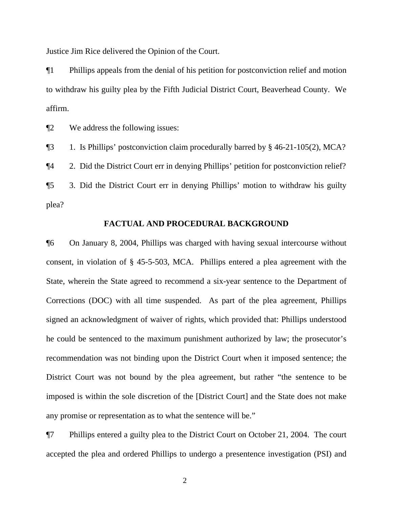Justice Jim Rice delivered the Opinion of the Court.

¶1 Phillips appeals from the denial of his petition for postconviction relief and motion to withdraw his guilty plea by the Fifth Judicial District Court, Beaverhead County. We affirm.

¶2 We address the following issues:

¶3 1. Is Phillips' postconviction claim procedurally barred by § 46-21-105(2), MCA?

¶4 2. Did the District Court err in denying Phillips' petition for postconviction relief?

¶5 3. Did the District Court err in denying Phillips' motion to withdraw his guilty plea?

#### **FACTUAL AND PROCEDURAL BACKGROUND**

¶6 On January 8, 2004, Phillips was charged with having sexual intercourse without consent, in violation of § 45-5-503, MCA. Phillips entered a plea agreement with the State, wherein the State agreed to recommend a six-year sentence to the Department of Corrections (DOC) with all time suspended. As part of the plea agreement, Phillips signed an acknowledgment of waiver of rights, which provided that: Phillips understood he could be sentenced to the maximum punishment authorized by law; the prosecutor's recommendation was not binding upon the District Court when it imposed sentence; the District Court was not bound by the plea agreement, but rather "the sentence to be imposed is within the sole discretion of the [District Court] and the State does not make any promise or representation as to what the sentence will be."

¶7 Phillips entered a guilty plea to the District Court on October 21, 2004. The court accepted the plea and ordered Phillips to undergo a presentence investigation (PSI) and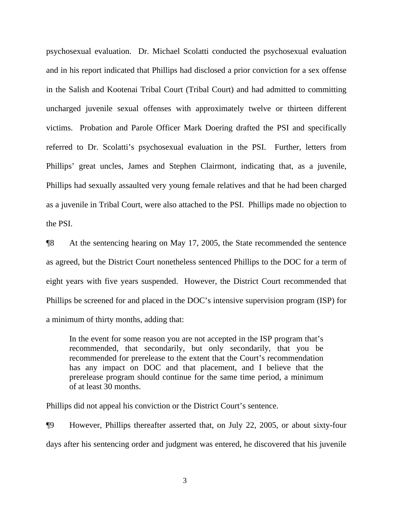psychosexual evaluation. Dr. Michael Scolatti conducted the psychosexual evaluation and in his report indicated that Phillips had disclosed a prior conviction for a sex offense in the Salish and Kootenai Tribal Court (Tribal Court) and had admitted to committing uncharged juvenile sexual offenses with approximately twelve or thirteen different victims. Probation and Parole Officer Mark Doering drafted the PSI and specifically referred to Dr. Scolatti's psychosexual evaluation in the PSI. Further, letters from Phillips' great uncles, James and Stephen Clairmont, indicating that, as a juvenile, Phillips had sexually assaulted very young female relatives and that he had been charged as a juvenile in Tribal Court, were also attached to the PSI. Phillips made no objection to the PSI.

¶8 At the sentencing hearing on May 17, 2005, the State recommended the sentence as agreed, but the District Court nonetheless sentenced Phillips to the DOC for a term of eight years with five years suspended. However, the District Court recommended that Phillips be screened for and placed in the DOC's intensive supervision program (ISP) for a minimum of thirty months, adding that:

In the event for some reason you are not accepted in the ISP program that's recommended, that secondarily, but only secondarily, that you be recommended for prerelease to the extent that the Court's recommendation has any impact on DOC and that placement, and I believe that the prerelease program should continue for the same time period, a minimum of at least 30 months.

Phillips did not appeal his conviction or the District Court's sentence.

¶9 However, Phillips thereafter asserted that, on July 22, 2005, or about sixty-four days after his sentencing order and judgment was entered, he discovered that his juvenile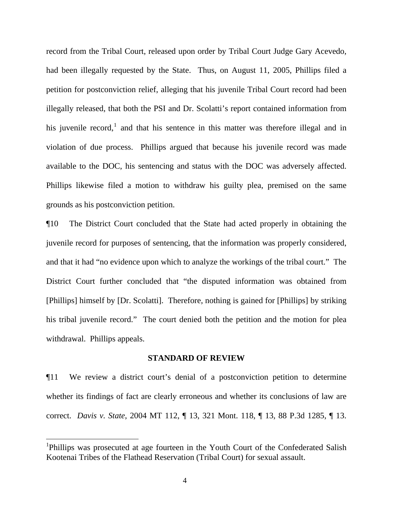record from the Tribal Court, released upon order by Tribal Court Judge Gary Acevedo, had been illegally requested by the State. Thus, on August 11, 2005, Phillips filed a petition for postconviction relief, alleging that his juvenile Tribal Court record had been illegally released, that both the PSI and Dr. Scolatti's report contained information from his juvenile record,<sup>[1](#page-3-0)</sup> and that his sentence in this matter was therefore illegal and in violation of due process. Phillips argued that because his juvenile record was made available to the DOC, his sentencing and status with the DOC was adversely affected. Phillips likewise filed a motion to withdraw his guilty plea, premised on the same grounds as his postconviction petition.

¶10 The District Court concluded that the State had acted properly in obtaining the juvenile record for purposes of sentencing, that the information was properly considered, and that it had "no evidence upon which to analyze the workings of the tribal court." The District Court further concluded that "the disputed information was obtained from [Phillips] himself by [Dr. Scolatti]. Therefore, nothing is gained for [Phillips] by striking his tribal juvenile record." The court denied both the petition and the motion for plea withdrawal. Phillips appeals.

#### **STANDARD OF REVIEW**

¶11 We review a district court's denial of a postconviction petition to determine whether its findings of fact are clearly erroneous and whether its conclusions of law are correct. *Davis v. State*, 2004 MT 112, ¶ 13, 321 Mont. 118, ¶ 13, 88 P.3d 1285, ¶ 13.

 $\overline{a}$ 

<span id="page-3-0"></span><sup>&</sup>lt;sup>1</sup>Phillips was prosecuted at age fourteen in the Youth Court of the Confederated Salish Kootenai Tribes of the Flathead Reservation (Tribal Court) for sexual assault.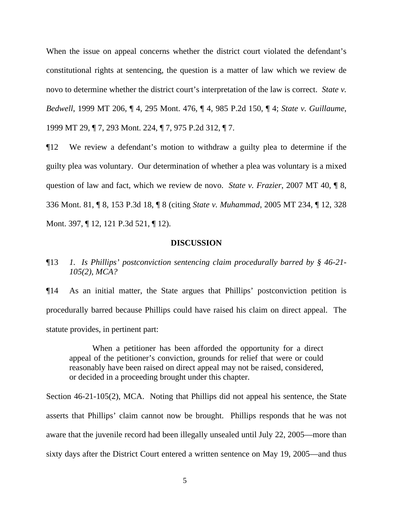When the issue on appeal concerns whether the district court violated the defendant's constitutional rights at sentencing, the question is a matter of law which we review de novo to determine whether the district court's interpretation of the law is correct. *State v. Bedwell*, 1999 MT 206, ¶ 4, 295 Mont. 476, ¶ 4, 985 P.2d 150, ¶ 4; *State v. Guillaume*, 1999 MT 29, ¶ 7, 293 Mont. 224, ¶ 7, 975 P.2d 312, ¶ 7.

¶12 We review a defendant's motion to withdraw a guilty plea to determine if the guilty plea was voluntary. Our determination of whether a plea was voluntary is a mixed question of law and fact, which we review de novo. *State v. Frazier*, 2007 MT 40, ¶ 8, 336 Mont. 81, ¶ 8, 153 P.3d 18, ¶ 8 (citing *State v. Muhammad*, 2005 MT 234, ¶ 12, 328 Mont. 397, ¶ 12, 121 P.3d 521, ¶ 12).

#### **DISCUSSION**

¶13 *1. Is Phillips' postconviction sentencing claim procedurally barred by § 46-21- 105(2), MCA?* 

¶14 As an initial matter, the State argues that Phillips' postconviction petition is procedurally barred because Phillips could have raised his claim on direct appeal. The statute provides, in pertinent part:

When a petitioner has been afforded the opportunity for a direct appeal of the petitioner's conviction, grounds for relief that were or could reasonably have been raised on direct appeal may not be raised, considered, or decided in a proceeding brought under this chapter.

Section 46-21-105(2), MCA. Noting that Phillips did not appeal his sentence, the State asserts that Phillips' claim cannot now be brought. Phillips responds that he was not aware that the juvenile record had been illegally unsealed until July 22, 2005—more than sixty days after the District Court entered a written sentence on May 19, 2005—and thus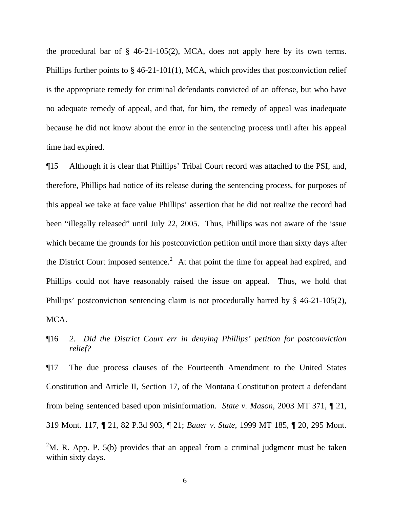the procedural bar of  $\S$  46-21-105(2), MCA, does not apply here by its own terms. Phillips further points to § 46-21-101(1), MCA, which provides that postconviction relief is the appropriate remedy for criminal defendants convicted of an offense, but who have no adequate remedy of appeal, and that, for him, the remedy of appeal was inadequate because he did not know about the error in the sentencing process until after his appeal time had expired.

¶15 Although it is clear that Phillips' Tribal Court record was attached to the PSI, and, therefore, Phillips had notice of its release during the sentencing process, for purposes of this appeal we take at face value Phillips' assertion that he did not realize the record had been "illegally released" until July 22, 2005. Thus, Phillips was not aware of the issue which became the grounds for his postconviction petition until more than sixty days after the District Court imposed sentence.<sup>[2](#page-5-0)</sup> At that point the time for appeal had expired, and Phillips could not have reasonably raised the issue on appeal. Thus, we hold that Phillips' postconviction sentencing claim is not procedurally barred by § 46-21-105(2), MCA.

¶17 The due process clauses of the Fourteenth Amendment to the United States Constitution and Article II, Section 17, of the Montana Constitution protect a defendant from being sentenced based upon misinformation. *State v. Mason*, 2003 MT 371, ¶ 21, 319 Mont. 117, ¶ 21, 82 P.3d 903, ¶ 21; *Bauer v. State*, 1999 MT 185, ¶ 20, 295 Mont.

 $\overline{a}$ 

<sup>¶16</sup> *2. Did the District Court err in denying Phillips' petition for postconviction relief?* 

<span id="page-5-0"></span><sup>&</sup>lt;sup>2</sup>M. R. App. P. 5(b) provides that an appeal from a criminal judgment must be taken within sixty days.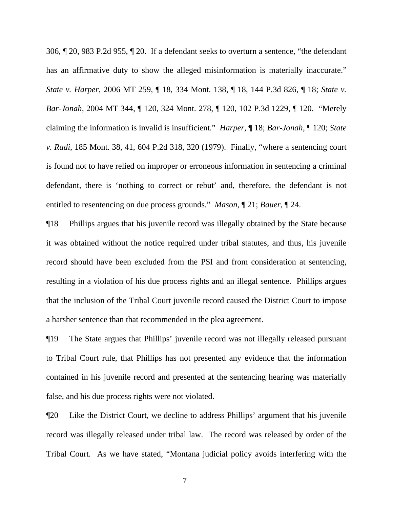306, ¶ 20, 983 P.2d 955, ¶ 20. If a defendant seeks to overturn a sentence, "the defendant has an affirmative duty to show the alleged misinformation is materially inaccurate." *State v. Harper*, 2006 MT 259, ¶ 18, 334 Mont. 138, ¶ 18, 144 P.3d 826, ¶ 18; *State v. Bar-Jonah*, 2004 MT 344, ¶ 120, 324 Mont. 278, ¶ 120, 102 P.3d 1229, ¶ 120. "Merely claiming the information is invalid is insufficient." *Harper*, ¶ 18; *Bar-Jonah*, ¶ 120; *State v. Radi*, 185 Mont. 38, 41, 604 P.2d 318, 320 (1979). Finally, "where a sentencing court is found not to have relied on improper or erroneous information in sentencing a criminal defendant, there is 'nothing to correct or rebut' and, therefore, the defendant is not entitled to resentencing on due process grounds." *Mason*, ¶ 21; *Bauer*, ¶ 24.

¶18 Phillips argues that his juvenile record was illegally obtained by the State because it was obtained without the notice required under tribal statutes, and thus, his juvenile record should have been excluded from the PSI and from consideration at sentencing, resulting in a violation of his due process rights and an illegal sentence. Phillips argues that the inclusion of the Tribal Court juvenile record caused the District Court to impose a harsher sentence than that recommended in the plea agreement.

¶19 The State argues that Phillips' juvenile record was not illegally released pursuant to Tribal Court rule, that Phillips has not presented any evidence that the information contained in his juvenile record and presented at the sentencing hearing was materially false, and his due process rights were not violated.

¶20 Like the District Court, we decline to address Phillips' argument that his juvenile record was illegally released under tribal law. The record was released by order of the Tribal Court. As we have stated, "Montana judicial policy avoids interfering with the

7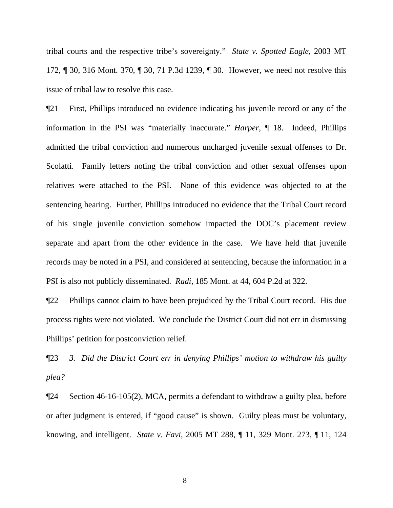tribal courts and the respective tribe's sovereignty." *State v. Spotted Eagle*, 2003 MT 172, ¶ 30, 316 Mont. 370, ¶ 30, 71 P.3d 1239, ¶ 30. However, we need not resolve this issue of tribal law to resolve this case.

¶21 First, Phillips introduced no evidence indicating his juvenile record or any of the information in the PSI was "materially inaccurate." *Harper*, ¶ 18. Indeed, Phillips admitted the tribal conviction and numerous uncharged juvenile sexual offenses to Dr. Scolatti. Family letters noting the tribal conviction and other sexual offenses upon relatives were attached to the PSI. None of this evidence was objected to at the sentencing hearing. Further, Phillips introduced no evidence that the Tribal Court record of his single juvenile conviction somehow impacted the DOC's placement review separate and apart from the other evidence in the case. We have held that juvenile records may be noted in a PSI, and considered at sentencing, because the information in a PSI is also not publicly disseminated. *Radi*, 185 Mont. at 44, 604 P.2d at 322.

¶22 Phillips cannot claim to have been prejudiced by the Tribal Court record. His due process rights were not violated. We conclude the District Court did not err in dismissing Phillips' petition for postconviction relief.

¶23 *3. Did the District Court err in denying Phillips' motion to withdraw his guilty plea?* 

¶24 Section 46-16-105(2), MCA, permits a defendant to withdraw a guilty plea, before or after judgment is entered, if "good cause" is shown. Guilty pleas must be voluntary, knowing, and intelligent. *State v. Favi*, 2005 MT 288, ¶ 11, 329 Mont. 273, ¶ 11, 124

8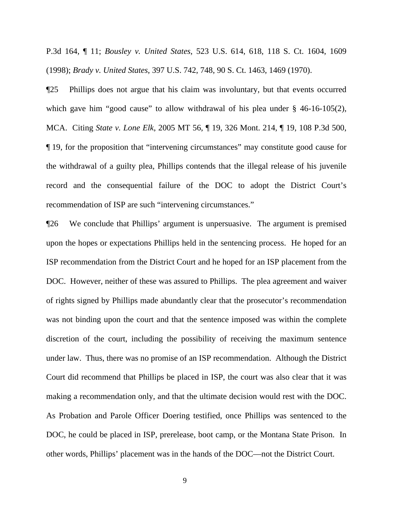P.3d 164, ¶ 11; *Bousley v. United States*, 523 U.S. 614, 618, 118 S. Ct. 1604, 1609 (1998); *Brady v. United States*, 397 U.S. 742, 748, 90 S. Ct. 1463, 1469 (1970).

¶25 Phillips does not argue that his claim was involuntary, but that events occurred which gave him "good cause" to allow withdrawal of his plea under § 46-16-105(2), MCA. Citing *State v. Lone Elk*, 2005 MT 56, ¶ 19, 326 Mont. 214, ¶ 19, 108 P.3d 500, ¶ 19, for the proposition that "intervening circumstances" may constitute good cause for the withdrawal of a guilty plea, Phillips contends that the illegal release of his juvenile record and the consequential failure of the DOC to adopt the District Court's recommendation of ISP are such "intervening circumstances."

¶26 We conclude that Phillips' argument is unpersuasive. The argument is premised upon the hopes or expectations Phillips held in the sentencing process. He hoped for an ISP recommendation from the District Court and he hoped for an ISP placement from the DOC. However, neither of these was assured to Phillips. The plea agreement and waiver of rights signed by Phillips made abundantly clear that the prosecutor's recommendation was not binding upon the court and that the sentence imposed was within the complete discretion of the court, including the possibility of receiving the maximum sentence under law. Thus, there was no promise of an ISP recommendation. Although the District Court did recommend that Phillips be placed in ISP, the court was also clear that it was making a recommendation only, and that the ultimate decision would rest with the DOC. As Probation and Parole Officer Doering testified, once Phillips was sentenced to the DOC, he could be placed in ISP, prerelease, boot camp, or the Montana State Prison. In other words, Phillips' placement was in the hands of the DOC—not the District Court.